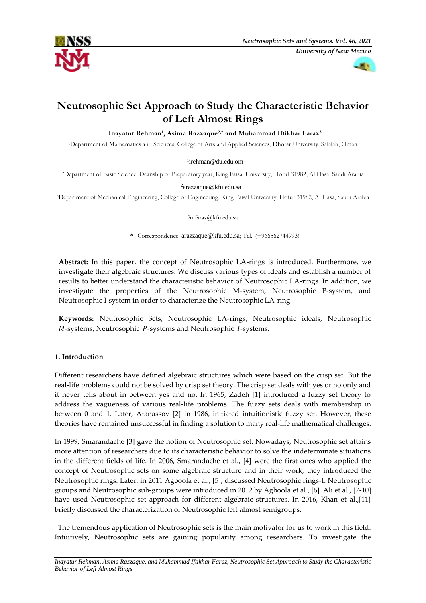



# **Neutrosophic Set Approach to Study the Characteristic Behavior of Left Almost Rings**

**Inayatur Rehman<sup>1</sup> , Asima Razzaque2,\* and Muhammad Iftikhar Faraz<sup>3</sup>**

<sup>1</sup>Department of Mathematics and Sciences, College of Arts and Applied Sciences, Dhofar University, Salalah, Oman

## 1 [irehman@du.edu.om](mailto:irehman@du.edu.om)

<sup>2</sup>Department of Basic Science, Deanship of Preparatory year, King Faisal University, Hofuf 31982, Al Hasa, Saudi Arabia

## 2 arazzaque@kfu.edu.sa

<sup>3</sup>Department of Mechanical Engineering, College of Engineering, King Faisal University, Hofuf 31982, Al Hasa, Saudi Arabia

#### <sup>3</sup>mfaraz@kfu.edu.sa

**\*** Correspondence: arazzaque@kfu.edu.sa; Tel.: (+966562744993)

**Abstract:** In this paper, the concept of Neutrosophic LA-rings is introduced. Furthermore, we investigate their algebraic structures. We discuss various types of ideals and establish a number of results to better understand the characteristic behavior of Neutrosophic LA-rings. In addition, we investigate the properties of the Neutrosophic M-system, Neutrosophic P-system, and Neutrosophic I-system in order to characterize the Neutrosophic LA-ring.

**Keywords:** Neutrosophic Sets; Neutrosophic LA-rings; Neutrosophic ideals; Neutrosophic  $M$ -systems; Neutrosophic  $P$ -systems and Neutrosophic  $I$ -systems.

# **1. Introduction**

Different researchers have defined algebraic structures which were based on the crisp set. But the real-life problems could not be solved by crisp set theory. The crisp set deals with yes or no only and it never tells about in between yes and no. In 1965, Zadeh [1] introduced a fuzzy set theory to address the vagueness of various real-life problems. The fuzzy sets deals with membership in between 0 and 1. Later, Atanassov [2] in 1986, initiated intuitionistic fuzzy set. However, these theories have remained unsuccessful in finding a solution to many real-life mathematical challenges.

In 1999, Smarandache [3] gave the notion of Neutrosophic set. Nowadays, Neutrosophic set attains more attention of researchers due to its characteristic behavior to solve the indeterminate situations in the different fields of life. In 2006, Smarandache et al., [4] were the first ones who applied the concept of Neutrosophic sets on some algebraic structure and in their work, they introduced the Neutrosophic rings. Later, in 2011 Agboola et al., [5], discussed Neutrosophic rings-I. Neutrosophic groups and Neutrosophic sub-groups were introduced in 2012 by Agboola et al., [6]. Ali et al., [7-10] have used Neutrosophic set approach for different algebraic structures. In 2016, Khan et al.,[11] briefly discussed the characterization of Neutrosophic left almost semigroups.

The tremendous application of Neutrosophic sets is the main motivator for us to work in this field. Intuitively, Neutrosophic sets are gaining popularity among researchers. To investigate the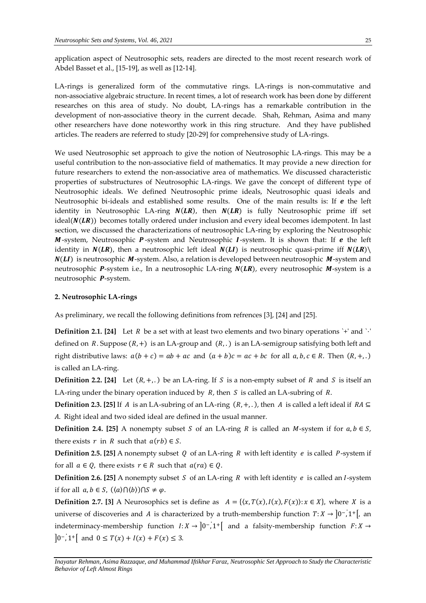application aspect of Neutrosophic sets, readers are directed to the most recent research work of Abdel Basset et al., [15-19], as well as [12-14].

LA-rings is generalized form of the commutative rings. LA-rings is non-commutative and non-associative algebraic structure. In recent times, a lot of research work has been done by different researches on this area of study. No doubt, LA-rings has a remarkable contribution in the development of non-associative theory in the current decade. Shah, Rehman, Asima and many other researchers have done noteworthy work in this ring structure. And they have published articles. The readers are referred to study [20-29] for comprehensive study of LA-rings.

We used Neutrosophic set approach to give the notion of Neutrosophic LA-rings. This may be a useful contribution to the non-associative field of mathematics. It may provide a new direction for future researchers to extend the non-associative area of mathematics. We discussed characteristic properties of substructures of Neutrosophic LA-rings. We gave the concept of different type of Neutrosophic ideals. We defined Neutrosophic prime ideals, Neutrosophic quasi ideals and Neutrosophic bi-ideals and established some results. One of the main results is: If  $e$  the left identity in Neutrosophic LA-ring  $N(LR)$ , then  $N(LR)$  is fully Neutrosophic prime iff set ideal( $N(LR)$ ) becomes totally ordered under inclusion and every ideal becomes idempotent. In last section, we discussed the characterizations of neutrosophic LA-ring by exploring the Neutrosophic  $M$ -system, Neutrosophic  $P$ -system and Neutrosophic I-system. It is shown that: If  $e$  the left identity in  $N(LR)$ , then a neutrosophic left ideal  $N(LI)$  is neutrosophic quasi-prime iff  $N(LR)$  $N(LI)$  is neutrosophic M-system. Also, a relation is developed between neutrosophic M-system and neutrosophic  $P$ -system i.e., In a neutrosophic LA-ring  $N(LR)$ , every neutrosophic  $M$ -system is a neutrosophic *P*-system.

#### **2. Neutrosophic LA-rings**

As preliminary, we recall the following definitions from refrences [3], [24] and [25].

**Definition 2.1.** [24] Let  $R$  be a set with at least two elements and two binary operations `+' and ` $\cdot$ ' defined on  $R$ . Suppose  $(R,+)$  is an LA-group and  $(R,.)$  is an LA-semigroup satisfying both left and right distributive laws:  $a(b + c) = ab + ac$  and  $(a + b)c = ac + bc$  for all  $a, b, c \in R$ . Then  $(R, +,.)$ is called an LA-ring.

**Definition 2.2.** [24] Let  $(R, +,.)$  be an LA-ring. If S is a non-empty subset of R and S is itself an LA-ring under the binary operation induced by  $R$ , then  $S$  is called an LA-subring of  $R$ .

**Definition 2.3.** [25] If A is an LA-subring of an LA-ring  $(R, +, \cdot)$ , then A is called a left ideal if  $RA \subseteq$ . Right ideal and two sided ideal are defined in the usual manner.

**Definition 2.4.** [25] A nonempty subset *S* of an LA-ring *R* is called an *M*-system if for  $a, b \in S$ , there exists  $r$  in  $R$  such that  $a(rb) \in S$ .

**Definition 2.5. [25]** A nonempty subset  $Q$  of an LA-ring  $R$  with left identity  $e$  is called  $P$ -system if for all  $a \in Q$ , there exists  $r \in R$  such that  $a(na) \in Q$ .

**Definition 2.6.** [25] A nonempty subset  $S$  of an LA-ring  $R$  with left identity  $e$  is called an  $I$ -system if for all  $a, b \in S$ ,  $(\langle a \rangle \cap \langle b \rangle) \cap S \neq \varphi$ .

**Definition 2.7.** [3] A Neurosophics set is define as  $A = \{ \langle x, T(x), I(x), F(x) \rangle : x \in X \}$ , where X is a universe of discoveries and A is characterized by a truth-membership function  $T: X \to [0^-, 1^+]$ , an indeterminacy-membership function  $I: X \to [0^-, 1^+]$  and a falsity-membership function  $F: X \to$  $\left|0^{-}$ , 1<sup>+</sup> and  $0 \leq T(x) + I(x) + F(x) \leq 3$ .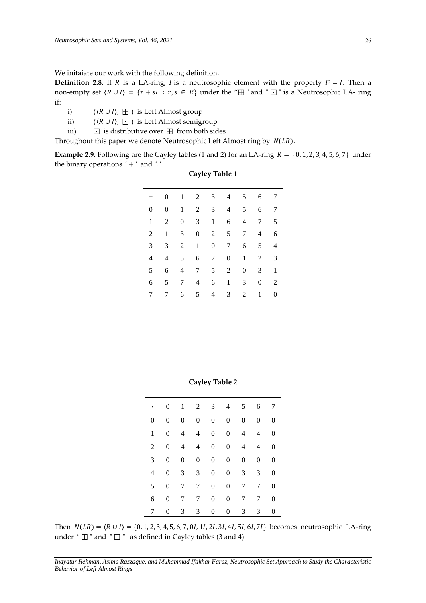We initaiate our work with the following definition.

**Definition 2.8.** If R is a LA-ring, I is a neutrosophic element with the property  $I^2 = I$ . Then a non-empty set  $\langle R \cup I \rangle = \{r + sI : r, s \in R\}$  under the " $\boxplus$ " and " $\Box$ " is a Neutrosophic LA- ring if:

i)  $(\langle R \cup I \rangle, \boxplus)$  is Left Almost group

- ii)  $(\langle R \cup I \rangle, \Box)$  is Left Almost semigroup
- iii) ⊡ is distributive over ⊞ from both sides

Throughout this paper we denote Neutrosophic Left Almost ring by  $N(LR)$ .

**Example 2.9.** Following are the Cayley tables (1 and 2) for an LA-ring  $R = \{0, 1, 2, 3, 4, 5, 6, 7\}$  under the binary operations  $' +'$  and  $'$ .

| $^{+}$   | $\mathbf{0}$ | 1        |                | 2 3              |                  | 4 5            | 6        | 7 |
|----------|--------------|----------|----------------|------------------|------------------|----------------|----------|---|
| $\theta$ | $\theta$     | 1        | 2              | 3                | $\overline{4}$   | 5              | 6        | 7 |
| 1        | 2            | $\theta$ | 3              | $\mathbf{1}$     | 6                | $\overline{4}$ | 7        | 5 |
| 2        | 1            | 3        | $\overline{0}$ | 2                | 5                | 7              | 4        | 6 |
| 3        | 3            | 2        | $\mathbf{1}$   | $\boldsymbol{0}$ | 7                | 6              | 5        | 4 |
| 4        | 4            | 5        | 6              | 7                | $\boldsymbol{0}$ | $\mathbf{1}$   | 2        | 3 |
| 5        | 6            | 4        | 7              | 5                | 2                | $\overline{0}$ | 3        | 1 |
| 6        | 5            | 7        | $\overline{4}$ | 6                | $\mathbf{1}$     | 3              | $\Omega$ | 2 |
| 7        | 7            | 6        | 5              | 4                | 3                | 2              | 1        | 0 |

**Cayley Table 1**

**Cayley Table 2**

|          | $\mathbf{0}$   |                  |                  | $1 \t2 \t3 \t4$  |                  | $5^{\circ}$      | 6              | 7              |
|----------|----------------|------------------|------------------|------------------|------------------|------------------|----------------|----------------|
| $\theta$ | 0              | $\boldsymbol{0}$ | $\overline{0}$   | $\overline{0}$   | $\mathbf{0}$     | $\overline{0}$   | 0              | 0              |
| 1        | $\overline{0}$ | 4                | $\overline{4}$   | $\overline{0}$   | $\overline{0}$   | $\overline{4}$   | 4              | $\theta$       |
| 2        | $\overline{0}$ | $\overline{4}$   | $\overline{4}$   | $\boldsymbol{0}$ | $\boldsymbol{0}$ | $\overline{4}$   | 4              | $\overline{0}$ |
| 3        | $\overline{0}$ | $\overline{0}$   | $\boldsymbol{0}$ | $\boldsymbol{0}$ | $\boldsymbol{0}$ | $\boldsymbol{0}$ | $\overline{0}$ | $\theta$       |
| 4        | 0              | 3                | 3                | $\boldsymbol{0}$ | $\overline{0}$   | 3                | 3              | $\overline{0}$ |
| 5        | $\overline{0}$ | 7                | $7\overline{ }$  | $\boldsymbol{0}$ | $\boldsymbol{0}$ | $7\phantom{.0}$  | 7              | $\overline{0}$ |
| 6        | 0              | 7                | 7                | $\boldsymbol{0}$ | $\boldsymbol{0}$ | $7^{\circ}$      | 7              | $\overline{0}$ |
| 7        | 0              | 3                | 3                | $\overline{0}$   | 0                | 3                | 3              | $\theta$       |

Then  $N(LR) = \langle R \cup I \rangle = \{0, 1, 2, 3, 4, 5, 6, 7, 0I, 1I, 2I, 3I, 4I, 5I, 6I, 7I\}$  becomes neutrosophic LA-ring under " $\boxplus$  " and " $\Box$ " as defined in Cayley tables (3 and 4):

*Inayatur Rehman, Asima Razzaque, and Muhammad Iftikhar Faraz, Neutrosophic Set Approach to Study the Characteristic Behavior of Left Almost Rings*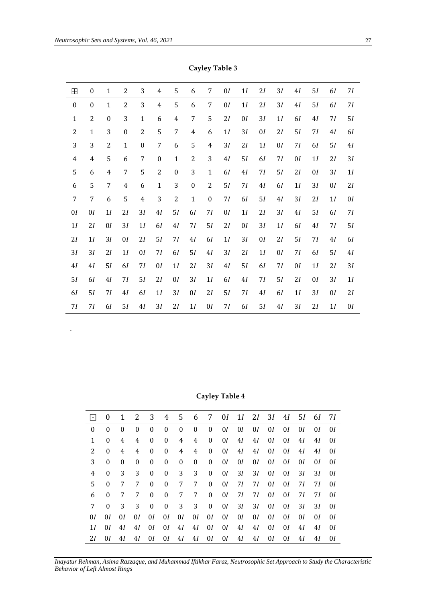.

| $\boxplus$       | $\boldsymbol{0}$ | $\mathbf{1}$     | $\overline{2}$   | 3              | 4                | 5                | 6                | 7                | 0I    | 1I             | 2I    | 3I | 4I             | 5I             | 61             | 7I             |
|------------------|------------------|------------------|------------------|----------------|------------------|------------------|------------------|------------------|-------|----------------|-------|----|----------------|----------------|----------------|----------------|
| $\boldsymbol{0}$ | $\boldsymbol{0}$ | $\mathbf{1}$     | $\overline{2}$   | 3              | $\overline{4}$   | 5                | 6                | 7                | 0I    | 1I             | 2I    | 3I | 4I             | 5I             | 61             | 71             |
| $\mathbf{1}$     | $\overline{2}$   | $\boldsymbol{0}$ | 3                | $\mathbf{1}$   | 6                | $\overline{4}$   | 7                | 5                | 2I    | 0I             | 3I    | 1I | 61             | $4\mathcal{I}$ | 71             | 5I             |
| $\overline{2}$   | $\mathbf{1}$     | 3                | $\boldsymbol{0}$ | $\overline{2}$ | 5                | $\overline{7}$   | $\overline{4}$   | 6                | 1I    | 3I             | 0I    | 2I | 5I             | 71             | $4\mathcal{I}$ | 61             |
| 3                | 3                | $\overline{2}$   | $\mathbf{1}$     | $\mathbf{0}$   | 7                | 6                | 5                | $\overline{4}$   | 3I    | 2I             | $1\,$ | 01 | 71             | 61             | 5I             | $4\mathcal{I}$ |
| $\overline{4}$   | $\overline{4}$   | 5                | 6                | $\overline{7}$ | $\boldsymbol{0}$ | $\mathbf{1}$     | $\overline{c}$   | 3                | 4I    | 5I             | 61    | 71 | 0I             | $1\mathcal{I}$ | 2I             | 3I             |
| 5                | 6                | $\overline{4}$   | 7                | 5              | $\overline{2}$   | $\boldsymbol{0}$ | 3                | $\mathbf{1}$     | 61    | $4\mathcal{I}$ | 71    | 5I | 2I             | 0I             | 3I             | 1I             |
| 6                | 5                | 7                | 4                | 6              | $\mathbf{1}$     | 3                | $\boldsymbol{0}$ | $\overline{c}$   | 5I    | 71             | 4I    | 61 | $1\mathcal{I}$ | 3I             | 0I             | 2I             |
| 7                | $\overline{7}$   | 6                | 5                | $\overline{4}$ | 3                | $\overline{2}$   | $\mathbf 1$      | $\boldsymbol{0}$ | 7I    | 61             | 5I    | 4I | 3I             | 2I             | 1I             | 0I             |
| 0I               | 0I               | 1I               | 2I               | 3I             | 4I               | 5I               | 61               | 71               | 0I    | 1I             | 2I    | 3I | 41             | 5I             | 61             | 71             |
| 1 <sub>I</sub>   | 2I               | 0I               | 3I               | 1I             | 61               | 41               | 71               | 5I               | 2I    | 0I             | 3I    | 1I | 61             | 4I             | 71             | 5I             |
| 2I               | 1I               | 3I               | 0I               | 2I             | 5I               | 71               | 4I               | 61               | $1\,$ | $3\mathcal{I}$ | 0I    | 2I | 5I             | 71             | 4I             | 61             |
| 3I               | 3I               | 2I               | 1I               | 0I             | 7I               | 61               | 5I               | $4I$             | 3I    | 2I             | $1\,$ | 01 | 7I             | 61             | 5I             | $4\mathcal{I}$ |
| $4\mathcal{I}$   | 41               | 5I               | 61               | 71             | 0I               | 1I               | 2I               | 3I               | 4I    | $5\mathcal{I}$ | 61    | 71 | 0I             | $1\mathcal{I}$ | 2I             | 3I             |
| 5I               | 61               | $4\mathcal{I}$   | 71               | 5I             | 2I               | 0I               | 3I               | 1I               | 61    | 4I             | 71    | 5I | 2I             | 0I             | 3I             | 1I             |
| 61               | 5I               | 7I               | 4I               | 61             | 1I               | 3I               | 0I               | 2I               | 5I    | 7I             | 4I    | 61 | 1I             | 3I             | 0I             | 2I             |
| 71               | 71               | 6I               | 5I               | 4I             | 3I               | 21               | 1I               | 0I               | 71    | 61             | 51    | 41 | 3I             | 21             | 1 <sub>I</sub> | 0I             |

**Cayley Table 3**

**Cayley Table 4**

| $ \cdot $    | $\vert 0 \vert$ | 1           |          |                |              |                |                                  |                                  |                                                        |    | 2 3 4 5 6 7 01 11 21 31 41 51 61 71 |    |    |    |      |     |
|--------------|-----------------|-------------|----------|----------------|--------------|----------------|----------------------------------|----------------------------------|--------------------------------------------------------|----|-------------------------------------|----|----|----|------|-----|
| 0            | $\Omega$        | $\theta$    | $\theta$ | $\bf{0}$       | $\bf{0}$     | $\mathbf{0}$   |                                  |                                  | $0 \quad 0 \quad 0I \quad 0I$                          |    | $0I$ $0I$                           |    | 0I | 0I | 0I   | 0I  |
| $\mathbf{1}$ | $\Omega$        | 4           | 4        | $\bf{0}$       | $\bf{0}$     | 4              | 4 <sup>1</sup>                   | $\mathbf{0}$                     | 0I                                                     | 4I | 4I                                  | 0I | 0I | 4I | 4I   | 0I  |
| 2            | $\Omega$        | 4           | 4        | $\bf{0}$       | $\bf{0}$     | 4              |                                  | 4 0                              | 0I                                                     | 4I | 4I                                  | 0I | 0I | 41 | 4I   | 0I  |
| 3            | $\theta$        | $\theta$    | $\theta$ | $\bf{0}$       | $\bf{0}$     | $\mathbf{0}$   |                                  | $0 \quad 0$                      | 0I                                                     | 0I | 0I                                  | 0I | 0I | 0I | 0I   | 0I  |
| 4            | $\Omega$        | 3           | 3        | $\mathbf{0}$   | $\bf{0}$     | 3 <sup>7</sup> | 3 <sup>7</sup>                   | $\mathbf{0}$                     | 0I                                                     | 3I | 3I                                  | 0I | 0I | 3I | 31   | 0I  |
| 5.           | $\theta$        | 7           | 7        | $\bf{0}$       | $\bf{0}$     | 7              |                                  | 7 0                              | 01 71                                                  |    | 71                                  | 0I | 0I | 71 | 71   | 0I  |
| 6            | $\theta$        | $7^{\circ}$ | 7        | $\overline{0}$ | $\mathbf{0}$ |                |                                  |                                  | 7 7 0 0 7 7 1                                          |    | 71                                  | 0I | 0I | 71 | 71 I | -01 |
| 7            | $\theta$        | 3           | 3        | $\bf{0}$       | $\mathbf{0}$ | 3 <sup>7</sup> |                                  | $3 \quad 0$                      | 0I                                                     | 3I | 3I                                  | 0I | 0I | 3I | 31   | 0I  |
| 01           | 0I              | 0I          | 0I       | 0I             | 0I           |                | 0 <i>I</i> 0 <i>I</i> 0 <i>I</i> |                                  | 0I                                                     | 0I | 0I                                  | 0I | 0I | 0I | 0I   | 0I  |
| 11           | 0I              | 4I          | 4I       | 0I             | 0I           | 4 <i>I</i>     |                                  | 4 <i>I</i> 0 <i>I</i> 0 <i>I</i> |                                                        | 4I | 4I                                  | 0I | 0I | 41 | 41   | 0I  |
| 21           | 0I              | 4I          | 4I       | 0I             |              |                |                                  |                                  | 0 <i>I</i> 4 <i>I</i> 4 <i>I</i> 0 <i>I</i> 0 <i>I</i> |    | 4 <i>I</i> 4 <i>I</i>               | 0I | 0I | 4I | 4I   | 0I  |

*Inayatur Rehman, Asima Razzaque, and Muhammad Iftikhar Faraz, Neutrosophic Set Approach to Study the Characteristic Behavior of Left Almost Rings*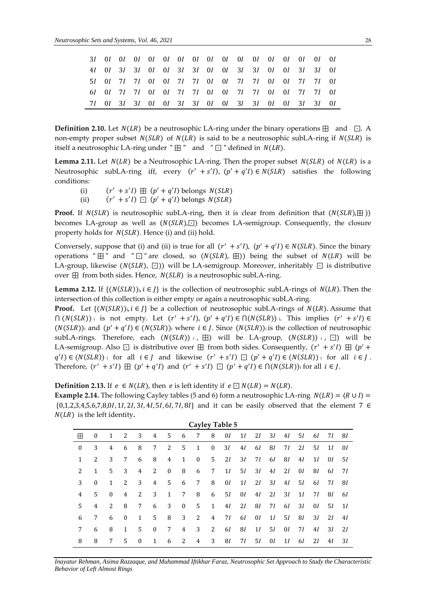|  |  |  |  |  |  |  |  | 4 <i>I</i> 0 <i>I</i> 3 <i>I</i> 3 <i>I</i> 0 <i>I</i> 0 <i>I</i> 3 <i>I</i> 3 <i>I</i> 0 <i>I</i> 0 <i>I</i> 3 <i>I</i> 3 <i>I</i> 0 <i>I</i> 0 <i>I</i> 3 <i>I</i> 3 <i>I</i> 0 <i>I</i> |  |
|--|--|--|--|--|--|--|--|--------------------------------------------------------------------------------------------------------------------------------------------------------------------------------------------|--|
|  |  |  |  |  |  |  |  | 51 01 71 71 01 01 71 71 01 01 71 71 01 01 71 71 01                                                                                                                                         |  |
|  |  |  |  |  |  |  |  | 61 01 71 71 01 01 71 71 01 01 71 71 01 01 71 71 01                                                                                                                                         |  |
|  |  |  |  |  |  |  |  | 71 01 31 31 01 01 31 31 01 01 31 31 01 01 31 31 01                                                                                                                                         |  |
|  |  |  |  |  |  |  |  |                                                                                                                                                                                            |  |

**Definition 2.10.** Let  $N(LR)$  be a neutrosophic LA-ring under the binary operations  $H$  and  $\Box$ . A non-empty proper subset  $N(SLR)$  of  $N(LR)$  is said to be a neutrosophic subLA-ring if  $N(SLR)$  is itself a neutrosophic LA-ring under " $\boxplus$  " and " $\Box$ " defined in  $N(LR)$ .

**Lemma 2.11.** Let  $N(LR)$  be a Neutrosophic LA-ring. Then the proper subset  $N(SLR)$  of  $N(LR)$  is a Neutrosophic subLA-ring iff, every  $(r' + s'I)$ ,  $(p' + q'I) \in N(SLR)$  satisfies the following conditions:

 $(i)$  $' + s'I$   $\boxplus$   $(p' + q'I)$  belongs  $N(SLR)$ 

 $(ii)$  $' + s'I$   $\Box$   $(p' + q'I)$  belongs  $N(SLR)$ 

**Proof.** If  $N(SLR)$  is neutrosophic subLA-ring, then it is clear from definition that  $(N(SLR), \boxplus)$ ) becomes LA-group as well as  $(N(SLR), \Box)$  becomes LA-semigroup. Consequently, the closure property holds for  $N(SLR)$ . Hence (i) and (ii) hold.

Conversely, suppose that (i) and (ii) is true for all  $(r' + s'I)$ ,  $(p' + q'I) \in N(SLR)$ . Since the binary operations " $\boxplus$ " and " $\Box$ " are closed, so (N(SLR),  $\boxplus$ )) being the subset of N(LR) will be LA-group, likewise ( $N(SLR)$ , ⊡)) will be LA-semigroup. Moreover, inheritably  $□$  is distributive over  $\boxplus$  from both sides. Hence,  $N(SLR)$  is a neutrosophic subLA-ring.

**Lemma 2.12.** If  $\{ (N(SLR))$ ;  $i \in J \}$  is the collection of neutrosophic subLA-rings of  $N(LR)$ . Then the intersection of this collection is either empty or again a neutrosophic subLA-ring.

**Proof.** Let  $\{(N(SLR)) : i \in I\}$  be a collection of neutrosophic subLA-rings of  $N(LR)$ . Assume that  $\bigcap (N(SLR))$  is not empty. Let  $(r' + s'I)$ ,  $(p' + q'I) \in \bigcap (N(SLR))$  i. This implies  $(r' + s'I) \in$  $(N(SLR))$  and  $(p' + q'I) \in (N(SLR))$  where  $i \in J$ . Since  $(N(SLR))$  is the collection of neutrosophic subLA-rings. Therefore, each  $(N(SLR))$  i,  $\boxplus$ ) will be LA-group,  $(N(SLR))$  i,  $\boxdot$ ) will be LA-semigroup. Also  $\Box$  is distributive over  $\boxplus$  from both sides. Consequently,  $(r' + s'I) \boxplus (p' + s')$  $q'(I) \in (N(SLR))$  i for all  $i \in J$  and likewise  $(r' + s'I) \square (p' + q'I) \in (N(SLR))$  i for all  $i \in J$ . Therefore,  $(r' + s'I) \boxplus (p' + q'I)$  and  $(r' + s'I) \boxdot (p' + q'I) \in \bigcap (N(SLR))$  for all  $i \in J$ .

**Definition 2.13.** If  $e \in N(LR)$ , then  $e$  is left identity if  $e \square N(LR) = N(LR)$ .

**Example 2.14.** The following Cayley tables (5 and 6) form a neutrosophic LA-ring  $N(LR) = \langle R \cup I \rangle$  = {0,1,2,3,4,5,6,7,8,0, 1, 2, 3, 4, 5, 6, 7, 8} and it can be easily observed that the element 7 ∈  $N(LR)$  is the left identity.

|                  | <b>Cayley Table 5</b> |              |              |          |              |              |              |              |              |    |    |    |    |    |    |    |     |    |
|------------------|-----------------------|--------------|--------------|----------|--------------|--------------|--------------|--------------|--------------|----|----|----|----|----|----|----|-----|----|
| m                | $\mathbf{0}$          | 1            | 2            | 3        | 4            | 5.           | 6            | 7            | 8            | 0I | 1I | 2I | 31 | 41 | 51 | 61 | 71  | 81 |
| $\boldsymbol{0}$ | 3                     | 4            | 6            | 8        | 7            | 2            | 5            | $\mathbf{1}$ | $\mathbf{0}$ | 31 | 41 | 61 | 81 | 71 | 21 | 5I | 1I  | 0I |
| 1                | 2                     | 3            | 7            | 6        | 8            | 4            | 1            | $\mathbf{0}$ | 5            | 21 | 3I | 71 | 61 | 81 | 4I | 1I | 0I  | 5I |
| 2                | 1                     | 5            | 3            | 4        | 2            | $\bf{0}$     | 8            | 6            | 7            | 1I | 5I | 3I | 41 | 21 | 0I | 81 | 61  | 71 |
| 3                | $\mathbf{0}$          | 1            | 2            | 3        | 4            | 5            | 6            | 7            | 8            | 0I | 1I | 2I | 3I | 41 | 51 | 61 | 7 I | 81 |
| 4                | 5                     | $\mathbf{0}$ | 4            | 2        | 3            | $\mathbf{1}$ | 7            | 8            | 6            | 51 | 0I | 41 | 21 | 3I | 1I | 71 | 81  | 61 |
| 5.               | 4                     | 2            | 8            | 7        | 6            | 3            | $\mathbf{0}$ | 5            | 1            | 41 | 2I | 81 | 71 | 61 | 3I | 0I | 51  | 1I |
| 6                | 7                     | 6            | $\mathbf{0}$ | 1        | 5            | 8            | 3            | 2            | 4            | 71 | 61 | 0I | 1I | 51 | 81 | 3I | 2I  | 4I |
| 7                | 6                     | 8            | $\mathbf{1}$ | 5        | $\mathbf{0}$ | 7            | 4            | 3            | 2            | 61 | 81 | 1I | 5I | 0I | 71 | 41 | 3I  | 2I |
| 8                | 8                     | 7            | 5            | $\Omega$ | 1            | 6            | 2            | 4            | 3            | 81 | 71 | 51 | 0I | 11 | 61 | 2I | 4I  | 31 |

*Inayatur Rehman, Asima Razzaque, and Muhammad Iftikhar Faraz, Neutrosophic Set Approach to Study the Characteristic Behavior of Left Almost Rings*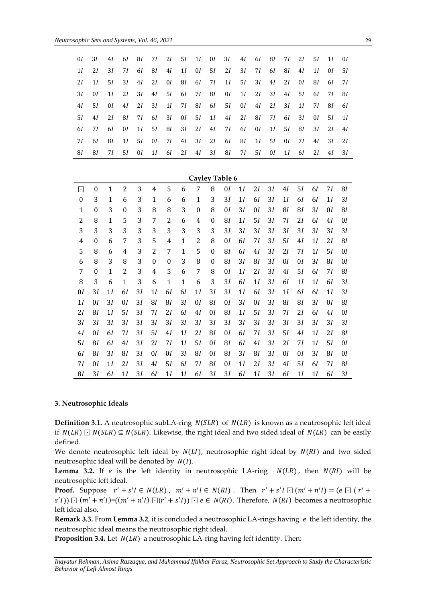| 0I          | 3I           | 41 <b>Mart</b> |  |  |  | 6 <i>I</i> 8 <i>I</i> 7 <i>I</i> 2 <i>I</i> 5 <i>I</i> 1 <i>I</i> 0 <i>I</i> 3 <i>I</i> 4 <i>I</i> 6 <i>I</i> 8 <i>I</i> 7 <i>I</i> 2 <i>I</i> 5 <i>I</i> 1 <i>I</i> 0 <i>I</i> |  |                       |              |       |                  |       |
|-------------|--------------|----------------|--|--|--|---------------------------------------------------------------------------------------------------------------------------------------------------------------------------------|--|-----------------------|--------------|-------|------------------|-------|
| 1I          | 2I           | 3I             |  |  |  | 71 61 81 41 11 01 51 21 31 71 61 81                                                                                                                                             |  |                       |              | 41 11 | 0I <sub>5I</sub> |       |
| 2I          |              |                |  |  |  | 11 51 31 41 21 01 81 61 71 11 51 31 41 21 01                                                                                                                                    |  |                       |              | - 81  | 61 71            |       |
| 3I          | 0I           |                |  |  |  | 11 21 31 41 51 61 71 81 01 11 21 31 41 51 61 71 81                                                                                                                              |  |                       |              |       |                  |       |
| 4I          | 5I -         | 0I             |  |  |  | 41 21 31 11 71 81 61 51 01 41 21 31 11                                                                                                                                          |  |                       |              | 71    | 81 61            |       |
| .5 <i>I</i> | 4I           | 21 81          |  |  |  | 71 61 31 01 51 11 41 21 81 71 61 31 01 51 11                                                                                                                                    |  |                       |              |       |                  |       |
| 6I          | 71 <b>12</b> | 6I —           |  |  |  | 01 11 51 81 31 21 41 71 61 01                                                                                                                                                   |  | 1 <i>l</i> 5 <i>l</i> | 81           |       | $3I$ $2I$ $4I$   |       |
| 71          | 6I -         | 81 -           |  |  |  | 11 51 01 71 41 31 21 61 81 11 51 01                                                                                                                                             |  |                       | 71 <b>12</b> | 4I    | $3I$ $2I$        |       |
| -81         | 81           |                |  |  |  | 71 51 01 11 61 21 41 31 81 71 51 01                                                                                                                                             |  | 1I                    | 61 21        |       |                  | 41 31 |

|                  | <b>Cayley Table 6</b> |                |                  |    |                  |                  |    |                  |                  |    |    |    |    |                |    |    |    |    |
|------------------|-----------------------|----------------|------------------|----|------------------|------------------|----|------------------|------------------|----|----|----|----|----------------|----|----|----|----|
| ⊡                | 0                     | $\mathbf{1}$   | 2                | 3  | 4                | 5                | 6  | 7                | 8                | 01 | 11 | 21 | 31 | 4I             | 51 | 61 | 71 | 81 |
| $\boldsymbol{0}$ | 3                     | 1              | 6                | 3  | 1                | 6                | 6  | 1                | 3                | 31 | 11 | 61 | 31 | 1 <sub>I</sub> | 61 | 61 | 11 | 3I |
| 1                | $\boldsymbol{0}$      | 3              | $\boldsymbol{0}$ | 3  | 8                | 8                | 3  | $\boldsymbol{0}$ | 8                | 01 | 31 | 01 | 31 | 81             | 81 | 31 | 01 | 81 |
| 2                | 8                     | 1              | 5                | 3  | 7                | 2                | 6  | 4                | 0                | 81 | 11 | 51 | 31 | 71             | 21 | 61 | 4I | 01 |
| 3                | 3                     | 3              | 3                | 3  | 3                | 3                | 3  | 3                | 3                | 31 | 31 | 31 | 31 | 31             | 31 | 31 | 31 | 31 |
| 4                | $\theta$              | 6              | 7                | 3  | 5                | 4                | 1  | 2                | 8                | 01 | 61 | 71 | 31 | 51             | 41 | 11 | 21 | 81 |
| 5                | 8                     | 6              | 4                | 3  | 2                | 7                | 1  | 5                | $\boldsymbol{0}$ | 81 | 61 | 4I | 3I | 21             | 71 | 11 | 51 | 01 |
| 6                | 8                     | 3              | 8                | 3  | $\boldsymbol{0}$ | $\boldsymbol{0}$ | 3  | 8                | $\boldsymbol{0}$ | 81 | 31 | 81 | 31 | 01             | 01 | 3I | 81 | 01 |
| 7                | $\boldsymbol{0}$      | 1              | 2                | 3  | 4                | 5                | 6  | 7                | 8                | 01 | 11 | 21 | 31 | 4I             | 51 | 61 | 71 | 81 |
| 8                | 3                     | 6              | 1                | 3  | 6                | 1                | 1  | 6                | 3                | 31 | 61 | 1I | 31 | 61             | 11 | 11 | 61 | 31 |
| 01               | 31                    | 1 <sub>I</sub> | 61               | 31 | 1 <sub>I</sub>   | 61               | 61 | 11               | 31               | 31 | 11 | 61 | 31 | 1 <sub>I</sub> | 61 | 61 | 11 | 3Ι |
| 11               | 01                    | 31             | 01               | 31 | 81               | 81               | 31 | 01               | 81               | 01 | 31 | 01 | 31 | 81             | 81 | 31 | 01 | 81 |
| 21               | 81                    | 11             | 51               | 31 | 71               | 21               | 61 | 4I               | 01               | 81 | 11 | 51 | 31 | 71             | 21 | 61 | 4I | 01 |
| 31               | 31                    | 3I             | 31               | 31 | 31               | 31               | 31 | 31               | 31               | 31 | 31 | 31 | 31 | 31             | 31 | 3I | 31 | 31 |
| 4I               | 0I                    | 61             | 71               | 31 | 51               | 4I               | 1I | 21               | 81               | 0I | 61 | 71 | 31 | 51             | 4I | 11 | 21 | 81 |
| 51               | 81                    | 61             | 41               | 31 | 21               | 71               | 11 | 51               | 01               | 81 | 61 | 4I | 31 | 21             | 71 | 11 | 51 | 01 |
| 61               | 81                    | 31             | 81               | 31 | 0I               | 01               | 31 | 81               | 01               | 81 | 31 | 81 | 31 | 01             | 01 | 31 | 81 | 01 |
| 71               | 01                    | 11             | 21               | 31 | 4I               | 51               | 61 | 71               | 81               | 01 | 11 | 21 | 31 | 4I             | 51 | 61 | 71 | 81 |
| 81               | 31                    | 61             | 11               | 3Ι | 61               | 11               | 11 | 61               | 31               | 31 | 61 | 11 | 3Ι | 61             | 11 | 11 | 61 | 31 |

# **3. Neutrosophic Ideals**

**Definition 3.1.** A neutrosophic subLA-ring  $N(SLR)$  of  $N(LR)$  is known as a neutrosophic left ideal if  $N(LR)$  ⊡  $N(SLR)$  ⊆  $N(SLR)$ . Likewise, the right ideal and two sided ideal of  $N(LR)$  can be easily defined.

We denote neutrosophic left ideal by  $N(LI)$ , neutrosophic right ideal by  $N(RI)$  and two sided neutrosophic ideal will be denoted by  $N(I)$ .

**Lemma 3.2.** If  $e$  is the left identity in neutrosophic LA-ring  $N(LR)$ , then  $N(RI)$  will be neutrosophic left ideal.

**Proof.** Suppose  $r' + s'I \in N(LR)$ ,  $m' + n'I \in N(RI)$ . Then  $r' + s'I \square (m' + n'I) = (e \square (r' + n'') \square)$  $s'(I)$ )  $\Box$   $(m' + n'I) = ((m' + n'I) \Box (r' + s'I)) \Box e \in N(RI)$ . Therefore,  $N(RI)$  becomes a neutrosophic left ideal also.

**Remark 3.3.** From Lemma 3.2, it is concluded a neutrosophic LA-rings having e the left identity, the neutrosophic ideal means the neutrosophic right ideal.

**Proposition 3.4.** Let  $N(LR)$  a neutrosophic LA-ring having left identity. Then:

*Inayatur Rehman, Asima Razzaque, and Muhammad Iftikhar Faraz, Neutrosophic Set Approach to Study the Characteristic Behavior of Left Almost Rings*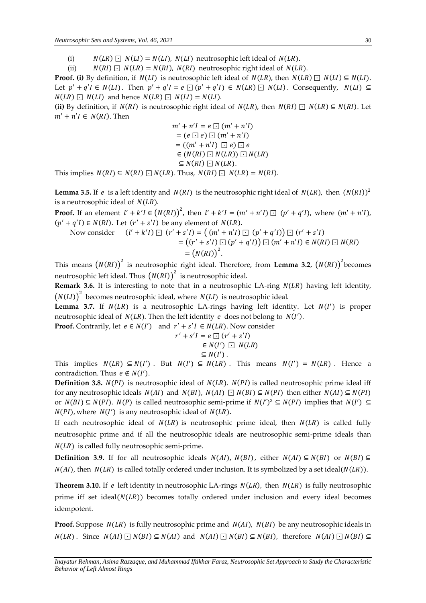(i)  $N(LR) \square N(LI) = N(LI)$ ,  $N(LI)$  neutrosophic left ideal of  $N(LR)$ .

(ii)  $N(RI) \square N(LR) = N(RI)$ ,  $N(RI)$  neutrosophic right ideal of  $N(LR)$ .

**Proof.** (i) By definition, if  $N(LI)$  is neutrosophic left ideal of  $N(LR)$ , then  $N(LR) \square N(LI) \subseteq N(LI)$ . Let  $p' + q'I \in N(LI)$ . Then  $p' + q'I = e \square (p' + q'I) \in N(LR) \square N(LI)$ . Consequently,  $N(LI) \subseteq$  $N(LR) \square N(LI)$  and hence  $N(LR) \square N(LI) = N(LI)$ .

**(ii)** By definition, if  $N(RI)$  is neutrosophic right ideal of  $N(LR)$ , then  $N(RI) \sqcap N(LR) \subseteq N(RI)$ . Let  $m' + n'I \in N(RI)$ . Then

$$
m' + n'I = e \square (m' + n'I)
$$
  
=  $(e \square e) \square (m' + n'I)$   
=  $((m' + n'I) \square e) \square e$   
 $\in (N(RI) \square N(LR)) \square N(LR)$   
 $\subseteq N(RI) \square N(LR).$ 

This implies  $N(RI) \subseteq N(RI) \square N(LR)$ . Thus,  $N(RI) \square N(LR) = N(RI)$ .

**Lemma 3.5.** If  $e$  is a left identity and  $N(RI)$  is the neutrosophic right ideal of  $N(LR)$ , then  $(N(RI))^2$ is a neutrosophic ideal of  $N(LR)$ .

**Proof.** If an element  $l' + k'l \in (N(RI))^2$ , then  $l' + k'l = (m' + n'I) \square (p' + q'I)$ , where  $(m' + n'I)$ ,  $(p' + q'I) \in N(RI)$ . Let  $(r' + s'I)$  be any element of  $N(LR)$ .

Now consider 
$$
(l' + k'l) \square (r' + s'l) = ((m' + n'l) \square (p' + q'l)) \square (r' + s'l)
$$
  
=  $((r' + s'l) \square (p' + q'l)) \square (m' + n'l) \in N(RI) \square N(RI)$   
=  $(N(RI))^2$ .

This means  $(N(RI))^2$  is neutrosophic right ideal. Therefore, from Lemma 3.2,  $(N(RI))^2$  becomes neutrosophic left ideal. Thus  $\big(N(RI)\big)^2\,$  is neutrosophic ideal.

**Remark 3.6.** It is interesting to note that in a neutrosophic LA-ring  $N(LR)$  having left identity,  $(N(LI))^2$  becomes neutrosophic ideal, where  $N(LI)$  is neutrosophic ideal.

Lemma 3.7. If  $N(LR)$  is a neutrosophic LA-rings having left identity. Let  $N(I')$  is proper neutrosophic ideal of  $N(LR)$ . Then the left identity  $e$  does not belong to  $N(I')$ .

**Proof.** Contrarily, let  $e \in N(I')$  and  $r' + s'I \in N(LR)$ . Now consider

$$
r' + s'I = e \square (r' + s'I)
$$
  
\n
$$
\in N(I') \square N(LR)
$$
  
\n
$$
\subseteq N(I').
$$

This implies  $N(LR) \subseteq N(I')$ . But  $N(I') \subseteq N(LR)$ . This means  $N(I') = N(LR)$ . Hence a contradiction. Thus  $e \notin N(I')$ .

**Definition 3.8.**  $N(PI)$  is neutrosophic ideal of  $N(LR)$ .  $N(PI)$  is called neutrosophic prime ideal iff for any neutrosophic ideals  $N(AI)$  and  $N(BI)$ ,  $N(AI) \square N(BI) \subseteq N(PI)$  then either  $N(AI) \subseteq N(PI)$ or  $N(BI) \subseteq N(PI)$ .  $N(P)$  is called neutrosophic semi-prime if  $N(I')^2 \subseteq N(PI)$  implies that  $N(I') \subseteq$  $N(PI)$ , where  $N(I')$  is any neutrosophic ideal of  $N(LR)$ .

If each neutrosophic ideal of  $N(LR)$  is neutrosophic prime ideal, then  $N(LR)$  is called fully neutrosophic prime and if all the neutrosophic ideals are neutrosophic semi-prime ideals than  $N(LR)$  is called fully neutrosophic semi-prime.

**Definition 3.9.** If for all neutrosophic ideals  $N(AI)$ ,  $N(BI)$ , either  $N(AI) \subseteq N(BI)$  or  $N(BI) \subseteq$  $N(AI)$ , then  $N(LR)$  is called totally ordered under inclusion. It is symbolized by a set ideal( $N(LR)$ ).

**Theorem 3.10.** If e left identity in neutrosophic LA-rings  $N(LR)$ , then  $N(LR)$  is fully neutrosophic prime iff set ideal  $(N(LR))$  becomes totally ordered under inclusion and every ideal becomes idempotent.

**Proof.** Suppose  $N(LR)$  is fully neutrosophic prime and  $N(AI)$ ,  $N(BI)$  be any neutrosophic ideals in  $N(LR)$ . Since  $N(AI) \square N(BI) \subseteq N(AI)$  and  $N(AI) \square N(BI) \subseteq N(BI)$ , therefore  $N(AI) \square N(BI) \subseteq N(BI)$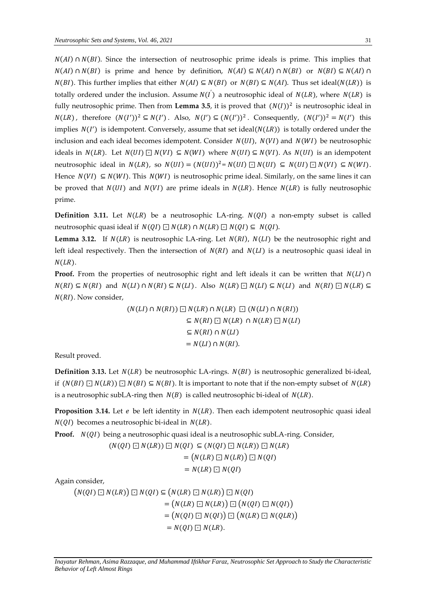$N(AI)$  ∩  $N(BI)$ . Since the intersection of neutrosophic prime ideals is prime. This implies that  $N(AI) \cap N(BI)$  is prime and hence by definition,  $N(AI) \subseteq N(AI) \cap N(BI)$  or  $N(BI) \subseteq N(AI) \cap N(BI)$  $N(BI)$ . This further implies that either  $N(AI) \subseteq N(BI)$  or  $N(BI) \subseteq N(AI)$ . Thus set ideal( $N(LR)$ ) is totally ordered under the inclusion. Assume  $N(I)$  a neutrosophic ideal of  $N(LR)$ , where  $N(LR)$  is fully neutrosophic prime. Then from Lemma 3.5, it is proved that  $(N(I))^2$  is neutrosophic ideal in  $N(LR)$ , therefore  $(N(I'))^2 \subseteq N(I')$ . Also,  $N(I') \subseteq (N(I'))^2$ . Consequently,  $(N(I'))^2 = N(I')$  this implies  $N(I')$  is idempotent. Conversely, assume that set ideal( $N(LR)$ ) is totally ordered under the inclusion and each ideal becomes idempotent. Consider  $N(UI)$ ,  $N(VI)$  and  $N(WI)$  be neutrosophic ideals in  $N(LR)$ . Let  $N(UI) ⊡ N(VI) ⊆ N(WI)$  where  $N(UI) ⊆ N(VI)$ . As  $N(UI)$  is an idempotent neutrosophic ideal in  $N(LR)$ , so  $N(UI) = (N(UI))^2 = N(UI) \square N(UI) \subseteq N(UI) \square N(VI) \subseteq N(WI)$ . Hence  $N(VI) \subseteq N(WI)$ . This  $N(WI)$  is neutrosophic prime ideal. Similarly, on the same lines it can be proved that  $N(UI)$  and  $N(VI)$  are prime ideals in  $N(LR)$ . Hence  $N(LR)$  is fully neutrosophic prime.

**Definition 3.11.** Let  $N(LR)$  be a neutrosophic LA-ring.  $N(QI)$  a non-empty subset is called neutrosophic quasi ideal if  $N(QI) \square N(LR) \cap N(LR) \square N(QI) \subseteq N(QI)$ .

**Lemma 3.12.** If  $N(LR)$  is neutrosophic LA-ring. Let  $N(RI)$ ,  $N(LI)$  be the neutrosophic right and left ideal respectively. Then the intersection of  $N(RI)$  and  $N(LI)$  is a neutrosophic quasi ideal in  $N(LR)$ .

**Proof.** From the properties of neutrosophic right and left ideals it can be written that  $N(L) \cap$  $N(RI) \subseteq N(RI)$  and  $N(LI) \cap N(RI) \subseteq N(LI)$ . Also  $N(LR) \sqsubseteq N(LI) \subseteq N(LI)$  and  $N(RI) \sqsubseteq N(LR) \subseteq N(LI)$  $N(RI)$ . Now consider,

$$
(N(LI) \cap N(RI)) \square N(LR) \cap N(LR) \square (N(LI) \cap N(RI))
$$
  
\n
$$
\subseteq N(RI) \square N(LR) \cap N(LR) \square N(LI)
$$
  
\n
$$
\subseteq N(RI) \cap N(LI)
$$
  
\n
$$
= N(LI) \cap N(RI).
$$

Result proved.

**Definition 3.13.** Let  $N(LR)$  be neutrosophic LA-rings.  $N(BI)$  is neutrosophic generalized bi-ideal, if  $(N(BI) \square N(LR)) \square N(BI) \subseteq N(BI)$ . It is important to note that if the non-empty subset of  $N(LR)$ is a neutrosophic subLA-ring then  $N(B)$  is called neutrosophic bi-ideal of  $N(LR)$ .

**Proposition 3.14.** Let  $e$  be left identity in  $N(LR)$ . Then each idempotent neutrosophic quasi ideal  $N(QI)$  becomes a neutrosophic bi-ideal in  $N(LR)$ .

**Proof.** *N(QI)* being a neutrosophic quasi ideal is a neutrosophic subLA-ring. Consider,

 $(N(QI) \square N(LR)) \square N(QI) \subseteq (N(QI) \square N(LR)) \square N(LR)$  $= (N(LR) \square N(LR)) \square N(QI)$  $= N(LR) \square N(QI)$ 

Again consider,

 $(N(QI) \square N(LR)) \square N(QI) \subseteq (N(LR) \square N(LR)) \square N(QI)$  $= (N(LR) \square N(LR)) \square (N(QI) \square N(QI))$  $= (N(QI) \square N(QI)) \square (N(LR) \square N(QLR))$  $= N(QI) \square N(LR).$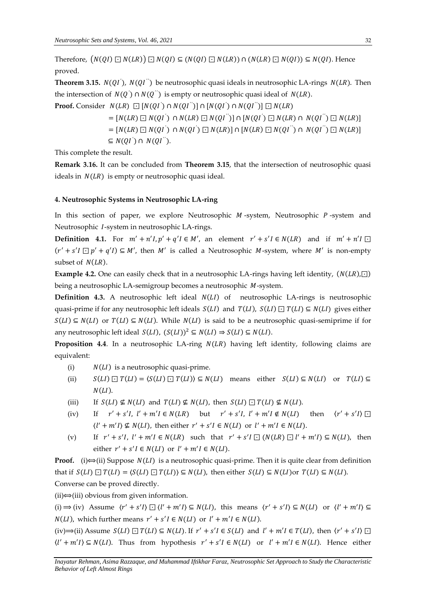Therefore,  $(N(QI) \square N(LR)) \square N(QI) \subseteq (N(QI) \square N(LR)) \cap (N(LR) \square N(QI)) \subseteq N(QI)$ . Hence proved.

**Theorem 3.15.**  $N(QI^{'}), N(QI^{''})$  be neutrosophic quasi ideals in neutrosophic LA-rings  $N(LR)$ . Then the intersection of  $N(Q^{'}) \cap N(Q^{''})$  is empty or neutrosophic quasi ideal of  $N(LR).$ 

**Proof.** Consider  $\; N(LR) \; \boxdot \; [N(QI^{'}) \cap N(QI^{''})] \cap [N(QI^{'}) \cap N(QI^{''})] \boxdot N(LR)$ 

 $\Gamma = [N(LR) \boxdot N(QI^{'}) \, \cap N(LR) \boxdot N(QI^{''})] \cap [N(QI^{'}) \boxdot N(LR) \cap N(QI^{''}) \boxdot N(LR)]$  $\Gamma = [N(LR) \boxdot N(QI^{'}) \cap N(QI^{'}) \boxdot N(LR)] \cap [N(LR) \boxdot N(QI^{''}) \cap N(QI^{''}) \boxdot N(LR)]$ ⊆  $N(QI^{'}) \cap N(QI^{''})$ .

This complete the result.

**Remark 3.16.** It can be concluded from **Theorem 3.15**, that the intersection of neutrosophic quasi ideals in  $N(LR)$  is empty or neutrosophic quasi ideal.

## **4. Neutrosophic Systems in Neutrosophic LA-ring**

In this section of paper, we explore Neutrosophic  $M$ -system, Neutrosophic  $P$ -system and Neutrosophic *I*-system in neutrosophic LA-rings.

**Definition 4.1.** For  $m' + n'l, p' + q'l \in M'$ , an element  $r' + s'l \in N(LR)$  and if  $m' + n'l \square$  $(r' + s'I \square p' + q'I) \subseteq M'$ , then M' is called a Neutrosophic M-system, where M' is non-empty subset of  $N(LR)$ .

**Example 4.2.** One can easily check that in a neutrosophic LA-rings having left identity,  $(N(LR), \Box)$ being a neutrosophic LA-semigroup becomes a neutrosophic M-system.

**Definition 4.3.** A neutrosophic left ideal  $N(L)$  of neutrosophic LA-rings is neutrosophic quasi-prime if for any neutrosophic left ideals  $S(LI)$  and  $T(LI)$ ,  $S(LI) \sqsubseteq T(LI) \subseteq N(LI)$  gives either  $S(LI) \subseteq N(LI)$  or  $T(LI) \subseteq N(LI)$ . While  $N(LI)$  is said to be a neutrosophic quasi-semiprime if for any neutrosophic left ideal  $S(LI)$ ,  $(S(LI))^2 \subseteq N(LI) \Rightarrow S(LI) \subseteq N(LI)$ .

**Proposition 4.4**. In a neutrosophic LA-ring  $N(LR)$  having left identity, following claims are equivalent:

- (i)  $N(LI)$  is a neutrosophic quasi-prime.
- (ii)  $S(LI) \square T(LI) = \langle S(LI) \square T(LI) \rangle \subseteq N(LI)$  means either  $S(LI) \subseteq N(LI)$  or  $T(LI) \subseteq$  $N(LI)$ .
- (iii) If  $S(LI) \nsubseteq N(LI)$  and  $T(LI) \nsubseteq N(LI)$ , then  $S(LI) \nsubseteq T(LI) \nsubseteq N(LI)$ .
- (iv) If  $r' + s'I$ ,  $l' + m'I \in N(LR)$  but  $r' + s'I$ ,  $l' + m'I \notin N(LI)$  then  $\langle r \rangle$  $\langle ' + s'I \rangle \Box$  $\langle l' + m'l \rangle \nsubseteq N(LI)$ , then either  $r' + s'I \in N(LI)$  or  $l' + m'I \in N(LI)$ .
- (v) If  $r' + s'I$ ,  $l' + m'I \in N(LR)$  such that  $r' + s'I \square (N(LR) \square l' + m'I) \subseteq N(LI)$ , then either  $r' + s'I \in N(LI)$  or  $l' + m'I \in N(LI)$ .

**Proof.** (i) $\iff$ (ii) Suppose  $N(L)$  is a neutrosophic quasi-prime. Then it is quite clear from definition that if  $S(LI) \square T(LI) = \langle S(LI) \square T(LI) \rangle \subseteq N(LI)$ , then either  $S(LI) \subseteq N(LI) \cap T(LI) \subseteq N(LI)$ . Converse can be proved directly.

 $(ii) \Leftrightarrow$ (iii) obvious from given information.

(i)  $\Rightarrow$  (iv) Assume  $\langle r' + s'I \rangle \square \langle l' + m'I \rangle \subseteq N(LI)$ , this means  $\langle r' + s'I \rangle \subseteq N(LI)$  or  $\langle l' + m'I \rangle \subseteq N(LI)$  $N(LI)$ , which further means  $r' + s'I \in N(LI)$  or  $l' + m'I \in N(LI)$ .

 $(iv) \Rightarrow (ii)$  Assume  $S(LI) \square T(LI) \subseteq N(LI)$ . If  $r' + s'I \in S(LI)$  and  $l' + m'I \in T(LI)$ , then  $\langle r' + s'I \rangle \square$  $\langle l' + m'l \rangle \subseteq N(LI)$ . Thus from hypothesis  $r' + s'l \in N(LI)$  or  $l' + m'l \in N(LI)$ . Hence either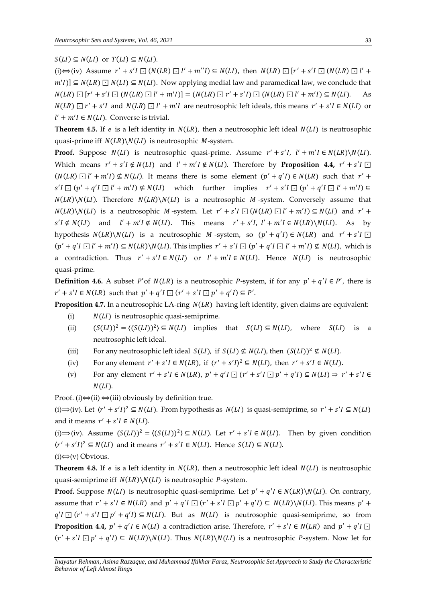# $S(LI) \subseteq N(LI)$  or  $T(LI) \subseteq N(LI)$ .

(i)  $\Leftrightarrow$  (iv) Assume  $r' + s'I \square (N(LR) \square l' + m''I) \subseteq N(LI)$ , then  $N(LR) \square [r' + s'I \square (N(LR) \square l' + m''I) \square (N(LR) \square l' + m''I)$  $m'I$ ]  $\subseteq N(LR) \square N(LI) \subseteq N(LI)$ . Now applying medial law and paramedical law, we conclude that  $N(LR) \Box [r' + s'I \Box (N(LR) \Box l' + m'I)] = (N(LR) \Box r' + s'I) \Box (N(LR) \Box l' + m'I) \subseteq N(LI).$  As  $N(LR) \square r' + s'I$  and  $N(LR) \square l' + m'I$  are neutrosophic left ideals, this means  $r' + s'I \in N(LI)$  or  $l' + m'I \in N(LI)$ . Converse is trivial.

**Theorem 4.5.** If *e* is a left identity in  $N(LR)$ , then a neutrosophic left ideal  $N(LI)$  is neutrosophic quasi-prime iff  $N(LR)\backslash N(LI)$  is neutrosophic *M*-system.

**Proof.** Suppose  $N(L)$  is neutrosophic quasi-prime. Assume  $r' + s'I$ ,  $l' + m'I \in N(LR) \setminus N(L)$ . Which means  $r' + s'I \notin N(LI)$  and  $l' + m'I \notin N(LI)$ . Therefore by **Proposition 4.4,**  $r' + s'I \square$  $(N(LR) \square l' + m'I) \nsubseteq N(LI)$ . It means there is some element  $(p' + q'I) \in N(LR)$  such that  $r' +$  $s'I \square (p' + q'I \square l' + m'I) \nsubseteq N(LI)$  which further implies  $r' + s'I \square (p' + q'I \square l' + m'I) \subseteq$  $N(LR)\backslash N(LI)$ . Therefore  $N(LR)\backslash N(LI)$  is a neutrosophic *M*-system. Conversely assume that  $N(LR)\backslash N(LI)$  is a neutrosophic M-system. Let  $r' + s'I \square (N(LR) \square l' + m'I) \subseteq N(LI)$  and  $r' + s'I \square (N(LR) \square l' + m'I)$  $s'I \notin N(LI)$  and  $l' + m'I \notin N(LI)$ . This means  $r' + s'I$ ,  $l' + m'I \in N(LR) \setminus N(LI)$ . As by hypothesis  $N(LR)\setminus N(LI)$  is a neutrosophic M-system, so  $(p' + q'I) \in N(LR)$  and  $r' + s'I \square$  $(p' + q'I \sqcup l' + m'I) \subseteq N(LR) \setminus N(LI)$ . This implies  $r' + s'I \sqcup (p' + q'I \sqcup l' + m'I) \nsubseteq N(LI)$ , which is a contradiction. Thus  $r' + s'I \in N(LI)$  or  $l' + m'I \in N(LI)$ . Hence  $N(LI)$  is neutrosophic quasi-prime.

**Definition 4.6.** A subset P'of  $N(LR)$  is a neutrosophic P-system, if for any  $p' + q'I \in P'$ , there is  $r' + s'I \in N(LR)$  such that  $p' + q'I \square (r' + s'I \square p' + q'I) \subseteq P'.$ 

**Proposition 4.7.** In a neutrosophic LA-ring  $N(LR)$  having left identity, given claims are equivalent:

- (i)  $N(LI)$  is neutrosophic quasi-semiprime.
- (ii)  $(S(LI))^2 = \langle (S(LI))^2 \rangle \subseteq N(LI)$  implies that  $S(LI) \subseteq N(LI)$ , where  $S(LI)$  is a neutrosophic left ideal.
- (iii) For any neutrosophic left ideal  $S(LI)$ , if  $S(LI) \nsubseteq N(LI)$ , then  $(S(LI))^2 \nsubseteq N(LI)$ .
- (iv) For any element  $r' + s'I \in N(LR)$ , if  $\langle r' + s'I \rangle^2 \subseteq N(LI)$ , then  $r' + s'I \in N(LI)$ .
- (v) For any element  $r' + s'I \in N(LR)$ ,  $p' + q'I \square (r' + s'I \square p' + q'I) \subseteq N(LI) \Rightarrow r' + s'I \in N(LI)$  $N(LI)$ .

Proof. (i) $\Longleftrightarrow$ (ii)  $\Longleftrightarrow$ (iii) obviously by definition true.

(i)  $\Rightarrow$  (iv). Let  $\langle r' + s'I \rangle^2 \subseteq N(LI)$ . From hypothesis as  $N(LI)$  is quasi-semiprime, so  $r' + s'I \subseteq N(LI)$ and it means  $r' + s'I \in N(LI)$ .

(i)  $\Rightarrow$  (iv). Assume  $(S(LI))^2 = \langle (S(LI))^2 \rangle \subseteq N(LI)$ . Let  $r' + s'I \in N(LI)$ . Then by given condition  $\langle r' + s'I \rangle^2 \subseteq N(LI)$  and it means  $r' + s'I \in N(LI)$ . Hence  $S(LI) \subseteq N(LI)$ .

 $(i) \Leftrightarrow$  (v) Obvious.

**Theorem 4.8.** If  $e$  is a left identity in  $N(LR)$ , then a neutrosophic left ideal  $N(LI)$  is neutrosophic quasi-semiprime iff  $N(LR)\setminus N(LI)$  is neutrosophic *P*-system.

**Proof.** Suppose  $N(L)$  is neutrosophic quasi-semiprime. Let  $p' + q'I \in N(LR) \setminus N(L)$ . On contrary, assume that  $r' + s'I \in N(LR)$  and  $p' + q'I \square (r' + s'I \square p' + q'I) \subseteq N(LR) \setminus N(LI)$ . This means  $p' +$  $q'I \square (r' + s'I \square p' + q'I) \subseteq N(LI)$ . But as  $N(LI)$  is neutrosophic quasi-semiprime, so from **Proposition 4.4,**  $p' + q'I \in N(LI)$  a contradiction arise. Therefore,  $r' + s'I \in N(LR)$  and  $p' + q'I \square$  $(r' + s'I \sqsupseteq p' + q'I) \subseteq N(LR) \setminus N(LI)$ . Thus  $N(LR) \setminus N(LI)$  is a neutrosophic *P*-system. Now let for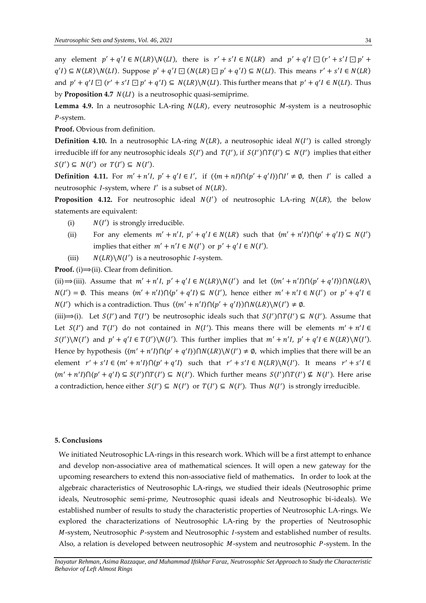any element  $p' + q'I \in N(LR) \setminus N(LI)$ , there is  $r' + s'I \in N(LR)$  and  $p' + q'I \square (r' + s'I \square p' + s'I \square)$  $q'(I) \subseteq N(LR) \setminus N(LI)$ . Suppose  $p' + q'I \square (N(LR) \square p' + q'I) \subseteq N(LI)$ . This means  $r' + s'I \in N(LR)$ and  $p' + q'I \square (r' + s'I \square p' + q'I) \subseteq N(LR) \setminus N(LI)$ . This further means that  $p' + q'I \in N(LI)$ . Thus by **Proposition 4.7**  $N(LI)$  is a neutrosophic quasi-semiprime.

**Lemma 4.9.** In a neutrosophic LA-ring  $N(LR)$ , every neutrosophic  $M$ -system is a neutrosophic P-system.

**Proof.** Obvious from definition.

**Definition 4.10.** In a neutrosophic LA-ring  $N(LR)$ , a neutrosophic ideal  $N(I')$  is called strongly irreducible iff for any neutrosophic ideals  $S(I')$  and  $T(I')$ , if  $S(I') \cap T(I') \subseteq N(I')$  implies that either  $S(I') \subseteq N(I')$  or  $T(I') \subseteq N(I')$ .

**Definition 4.11.** For  $m' + n'I$ ,  $p' + q'I \in I'$ , if  $(\langle m + nI \rangle) \cap \langle p' + q'I \rangle) \cap I' \neq \emptyset$ , then I' is called a neutrosophic *I*-system, where  $I'$  is a subset of  $N(LR)$ .

**Proposition 4.12.** For neutrosophic ideal  $N(I')$  of neutrosophic LA-ring  $N(LR)$ , the below statements are equivalent:

- (i)  $N(I')$  is strongly irreducible.
- (ii) For any elements  $m' + n'I$ ,  $p' + q'I \in N(LR)$  such that  $\langle m' + n'I \rangle \cap \langle p' + q'I \rangle \subseteq N(I')$ implies that either  $m' + n' I \in N(I')$  or  $p' + q' I \in N(I')$ .
- (iii)  $N(LR)\backslash N(I')$  is a neutrosophic *I*-system.

**Proof.** (i) $\implies$ (ii). Clear from definition.

(ii)  $\Rightarrow$  (iii). Assume that  $m' + n'l$ ,  $p' + q'l \in N(LR) \setminus N(l')$  and let  $(\langle m' + n'l \rangle \cap \langle p' + q'l \rangle) \cap N(LR) \setminus N(l')$  $N(I') = \emptyset$ . This means  $\langle m' + n'I \rangle \cap \langle p' + q'I \rangle \subseteq N(I')$ , hence either  $m' + n'I \in N(I')$  or  $p' + q'I \in N(I')$  $N(I')$  which is a contradiction. Thus  $(\langle m' + n'I \rangle \cap \langle p' + q'I \rangle) \cap N(LR) \setminus N(I') \neq \emptyset$ .

(iii)  $\Rightarrow$  (i). Let  $S(I')$  and  $T(I')$  be neutrosophic ideals such that  $S(I') \cap T(I') \subseteq N(I')$ . Assume that Let  $S(I')$  and  $T(I')$  do not contained in  $N(I')$ . This means there will be elements  $m' + n'I \in$  $S(I')\setminus N(I')$  and  $p' + q'I \in T(I')\setminus N(I')$ . This further implies that  $m' + n'I$ ,  $p' + q'I \in N(LR)\setminus N(I')$ . Hence by hypothesis  $((m' + n'I) \cap (p' + q'I)) \cap N(LR) \setminus N(I') \neq \emptyset$ , which implies that there will be an element  $r' + s'I \in \langle m' + n'I \rangle \cap \langle p' + q'I \rangle$  such that  $r' + s'I \in N(LR) \setminus N(I')$ . It means  $r' + s'I \in N(LR) \setminus N(L')$  $\langle m' + n'I \rangle \cap \langle p' + q'I \rangle \subseteq S(I') \cap T(I') \subseteq N(I')$ . Which further means  $S(I') \cap T(I') \nsubseteq N(I')$ . Here arise a contradiction, hence either  $S(I') \subseteq N(I')$  or  $T(I') \subseteq N(I')$ . Thus  $N(I')$  is strongly irreducible.

#### **5. Conclusions**

We initiated Neutrosophic LA-rings in this research work. Which will be a first attempt to enhance and develop non-associative area of mathematical sciences. It will open a new gateway for the upcoming researchers to extend this non-associative field of mathematics**.** In order to look at the algebraic characteristics of Neutrosophic LA-rings, we studied their ideals (Neutrosophic prime ideals, Neutrosophic semi-prime, Neutrosophic quasi ideals and Neutrosophic bi-ideals). We established number of results to study the characteristic properties of Neutrosophic LA-rings. We explored the characterizations of Neutrosophic LA-ring by the properties of Neutrosophic  $M$ -system, Neutrosophic  $P$ -system and Neutrosophic  $I$ -system and established number of results. Also, a relation is developed between neutrosophic  $M$ -system and neutrosophic  $P$ -system. In the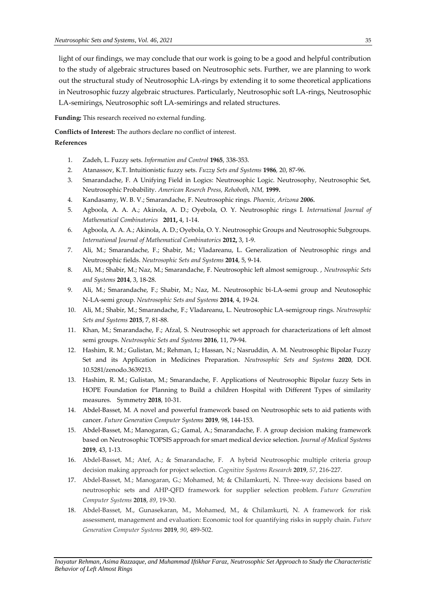light of our findings, we may conclude that our work is going to be a good and helpful contribution to the study of algebraic structures based on Neutrosophic sets. Further, we are planning to work out the structural study of Neutrosophic LA-rings by extending it to some theoretical applications in Neutrosophic fuzzy algebraic structures. Particularly, Neutrosophic soft LA-rings, Neutrosophic LA-semirings, Neutrosophic soft LA-semirings and related structures.

**Funding:** This research received no external funding.

**Conflicts of Interest:** The authors declare no conflict of interest.

# **References**

- 1. Zadeh, L. Fuzzy sets. *Information and Control* **1965**, 338-353.
- 2. Atanassov, K.T. Intuitionistic fuzzy sets. *Fuzzy Sets and Systems* **1986***,* 20, 87-96.
- 3. Smarandache, F. A Unifying Field in Logics: Neutrosophic Logic. Neutrosophy, Neutrosophic Set, Neutrosophic Probability. *American Reserch Press, Rehoboth, NM,* **1999.**
- 4. Kandasamy, W. B. V.; Smarandache, F. Neutrosophic rings. *Phoenix, Arizona 2006.*
- 5. Agbοοla, A. A. A.; Akinοla, A. D.; Oyebοla, O. Y. Neutrosοphic rings I. *International Journal of Mathеmatical Combinatorics* **2011,** 4, 1-14.
- 6. Agbοοla, A. A. A.; Akinοla, A. D.; Oyebοla, O. Y. Neutrosophic Groups and Neutrosophic Subgroups. *International Journal of Mathеmatical Combinatorics* **2012,** 3, 1-9.
- 7. Ali, M.; Smarandache, F.; Shabir, M.; Vladareanu, L. Generalization of Neutrosophic rings and Neutrosophic fields. *Neutrosophic Sets and Systems* **2014**, 5, 9-14.
- 8. Ali, M.; Shabir, M.; Naz, M.; Smarandache, F. Neutrosophic left almost semigroup. , *Neutrosophic Sets and Systems* **2014**, 3, 18-28.
- 9. Ali, M.; Smarandache, F.; Shabir, M.; Naz, M.. Neutrosophic bi-LA-semi group and Neutosophic N-LA-semi group. *Neutrosophic Sets and Systems* **2014**, 4, 19-24.
- 10. Ali, M.; Shabir, M.; Smarandache, F.; Vladareanu, L. Neutrosophic LA-semigroup rings. *Neutrosophic Sets and Systems* **2015**, 7, 81-88.
- 11. Khan, M.; Smarandache, F.; Afzal, S. Neutrosophic set approach for characterizations of left almost semi groups. *Neutrosophic Sets and Systems* **2016**, 11, 79-94.
- 12. Hashim, R. M.; Gulistan, M.; Rehman, I.; Hassan, N.; Nasruddin, A. M. Neutrosophic Bipolar Fuzzy Set and its Application in Medicines Preparation. *Neutrosophic Sets and Systems* **2020**, DOI. 10.5281/zenodo.3639213.
- 13. Hashim, R. M.; Gulistan, M.; Smarandache, F. Applications of Neutrosophic Bipolar fuzzy Sets in HOPE Foundation for Planning to Build a children Hospital with Different Types of similarity measures. Symmetry **2018**, 10-31.
- 14. Abdel-Basset, M. A novel and powerful framework based on Neutrosophic sets to aid patients with cancer. *Future Generation Computer Systems* **2019**, 98, 144-153.
- 15. Abdel-Basset, M.; Manogaran, G.; Gamal, A.; Smarandache, F. A group decision making framework based on Neutrosophic TOPSIS approach for smart medical device selection. *Journal of Medical Systems* **2019**, 43, 1-13.
- 16. Abdel-Basset, M.; Atef, A.; & Smarandache, F. A hybrid Neutrosophic multiple criteria group decision making approach for project selection. *Cognitive Systems Research* **2019**, *57*, 216-227.
- 17. Abdel-Basset, M.; Manogaran, G.; Mohamed, M; & Chilamkurti, N. Three-way decisions based on neutrosophic sets and AHP-QFD framework for supplier selection problem. *Future Generation Computer Systems* **2018**, *89*, 19-30.
- 18. Abdel-Basset, M., Gunasekaran, M., Mohamed, M., & Chilamkurti, N. A framework for risk assessment, management and evaluation: Economic tool for quantifying risks in supply chain. *Future Generation Computer Systems* **2019**, *90*, 489-502.